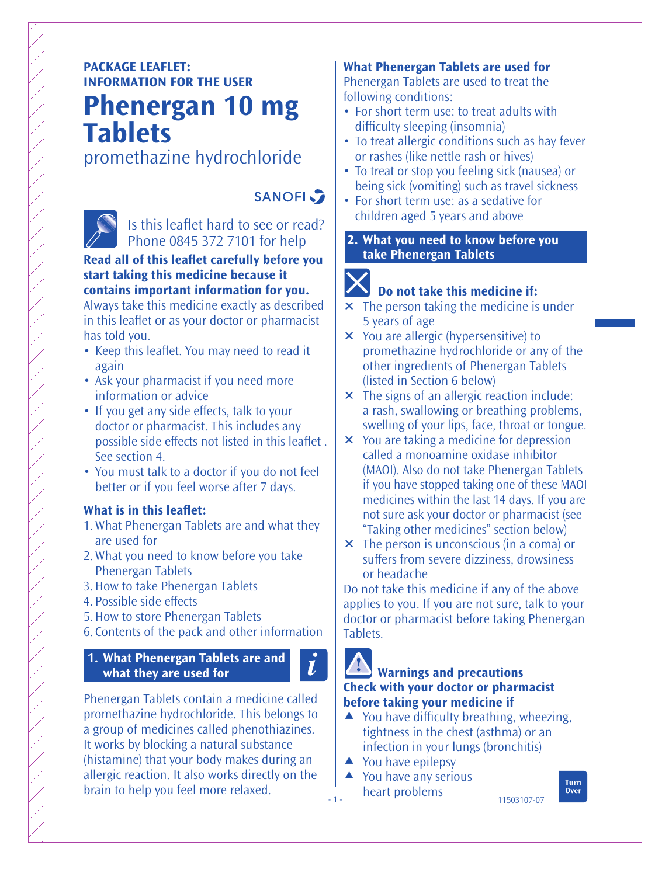## **PACKAGE LEAFLET: INFORMATION FOR THE USER**

# **Phenergan 10 mg Tablets**

### promethazine hydrochloride



# **SANOFI**

Is this leaflet hard to see or read? Phone 0845 372 7101 for help

#### **Read all of this leaflet carefully before you start taking this medicine because it contains important information for you.**

Always take this medicine exactly as described in this leaflet or as your doctor or pharmacist has told you.

- Keep this leaflet. You may need to read it again
- Ask your pharmacist if you need more information or advice
- If you get any side effects, talk to your doctor or pharmacist. This includes any possible side effects not listed in this leaflet. See section 4.
- You must talk to a doctor if you do not feel better or if you feel worse after 7 days.

#### **What is in this leaflet:**

- 1. What Phenergan Tablets are and what they are used for
- 2. What you need to know before you take Phenergan Tablets
- 3. How to take Phenergan Tablets
- 4. Possible side effects
- 5. How to store Phenergan Tablets
- 6. Contents of the pack and other information

#### **1. What Phenergan Tablets are and what they are used for**

Phenergan Tablets contain a medicine called promethazine hydrochloride. This belongs to a group of medicines called phenothiazines. It works by blocking a natural substance (histamine) that your body makes during an allergic reaction. It also works directly on the brain to help you feel more relaxed.

#### **What Phenergan Tablets are used for** Phenergan Tablets are used to treat the

following conditions:

- For short term use: to treat adults with difficulty sleeping (insomnia)
- To treat allergic conditions such as hay fever or rashes (like nettle rash or hives)
- To treat or stop you feeling sick (nausea) or being sick (vomiting) such as travel sickness
- For short term use: as a sedative for children aged 5 years and above
- **2. What you need to know before you take Phenergan Tablets**

# IX

### **Do not take this medicine if:**

- $\times$  The person taking the medicine is under 5 years of age
- You are allergic (hypersensitive) to promethazine hydrochloride or any of the other ingredients of Phenergan Tablets (listed in Section 6 below)
- $\times$  The signs of an allergic reaction include: a rash, swallowing or breathing problems, swelling of your lips, face, throat or tongue.
- You are taking a medicine for depression called a monoamine oxidase inhibitor (MAOI). Also do not take Phenergan Tablets if you have stopped taking one of these MAOI medicines within the last 14 days. If you are not sure ask your doctor or pharmacist (see "Taking other medicines" section below)
- The person is unconscious (in a coma) or suffers from severe dizziness, drowsiness or headache

Do not take this medicine if any of the above applies to you. If you are not sure, talk to your doctor or pharmacist before taking Phenergan Tablets.

 $\tilde{l}$ 

- 1 -

#### **Warnings and precautions Check with your doctor or pharmacist before taking your medicine if**

- $\triangle$  You have difficulty breathing, wheezing, tightness in the chest (asthma) or an infection in your lungs (bronchitis)
- $\triangle$  You have epilepsy
- ▲ You have any serious heart problems

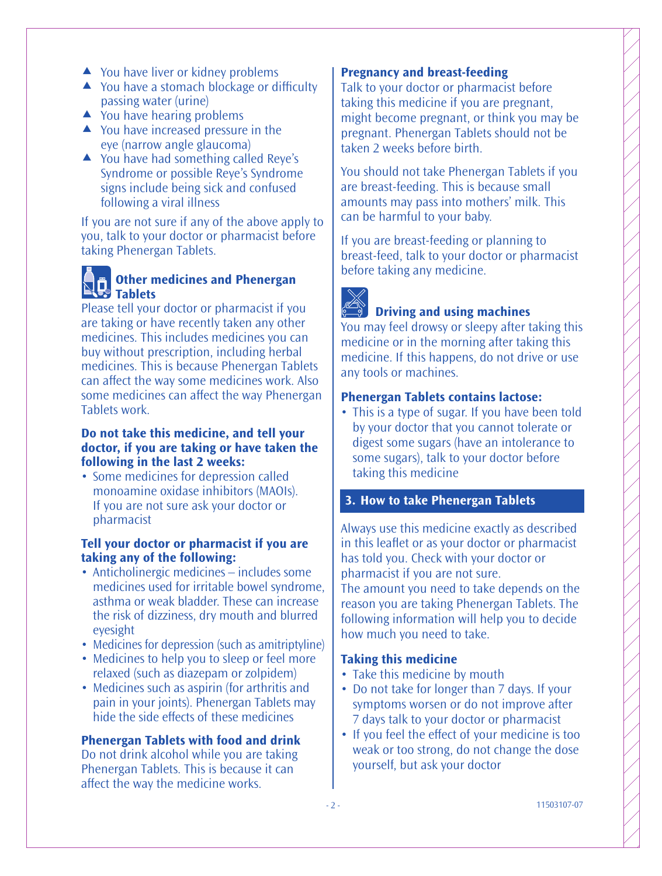- ▲ You have liver or kidney problems
- $\triangle$  You have a stomach blockage or difficulty passing water (urine)
- $\triangle$  You have hearing problems
- ▲ You have increased pressure in the eye (narrow angle glaucoma)
- ▲ You have had something called Reye's Syndrome or possible Reye's Syndrome signs include being sick and confused following a viral illness

If you are not sure if any of the above apply to you, talk to your doctor or pharmacist before taking Phenergan Tablets.

### **Confluence I and Phenergan Tablets**

Please tell your doctor or pharmacist if you are taking or have recently taken any other medicines. This includes medicines you can buy without prescription, including herbal medicines. This is because Phenergan Tablets can affect the way some medicines work. Also some medicines can affect the way Phenergan Tablets work.

#### **Do not take this medicine, and tell your doctor, if you are taking or have taken the following in the last 2 weeks:**

• Some medicines for depression called monoamine oxidase inhibitors (MAOIs). If you are not sure ask your doctor or pharmacist

#### **Tell your doctor or pharmacist if you are taking any of the following:**

- Anticholinergic medicines includes some medicines used for irritable bowel syndrome, asthma or weak bladder. These can increase the risk of dizziness, dry mouth and blurred eyesight
- Medicines for depression (such as amitriptyline)
- Medicines to help you to sleep or feel more relaxed (such as diazepam or zolpidem)
- Medicines such as aspirin (for arthritis and pain in your joints). Phenergan Tablets may hide the side effects of these medicines

#### **Phenergan Tablets with food and drink**

Do not drink alcohol while you are taking Phenergan Tablets. This is because it can affect the way the medicine works.

#### **Pregnancy and breast-feeding**

Talk to your doctor or pharmacist before taking this medicine if you are pregnant, might become pregnant, or think you may be pregnant. Phenergan Tablets should not be taken 2 weeks before birth.

You should not take Phenergan Tablets if you are breast-feeding. This is because small amounts may pass into mothers' milk. This can be harmful to your baby.

If you are breast-feeding or planning to breast-feed, talk to your doctor or pharmacist before taking any medicine.



#### **Driving and using machines**

You may feel drowsy or sleepy after taking this medicine or in the morning after taking this medicine. If this happens, do not drive or use any tools or machines.

#### **Phenergan Tablets contains lactose:**

• This is a type of sugar. If you have been told by your doctor that you cannot tolerate or digest some sugars (have an intolerance to some sugars), talk to your doctor before taking this medicine

#### **3. How to take Phenergan Tablets**

Always use this medicine exactly as described in this leaflet or as your doctor or pharmacist has told you. Check with your doctor or pharmacist if you are not sure.

The amount you need to take depends on the reason you are taking Phenergan Tablets. The following information will help you to decide how much you need to take.

#### **Taking this medicine**

- Take this medicine by mouth
- Do not take for longer than 7 days. If your symptoms worsen or do not improve after 7 days talk to your doctor or pharmacist
- If you feel the effect of your medicine is too weak or too strong, do not change the dose yourself, but ask your doctor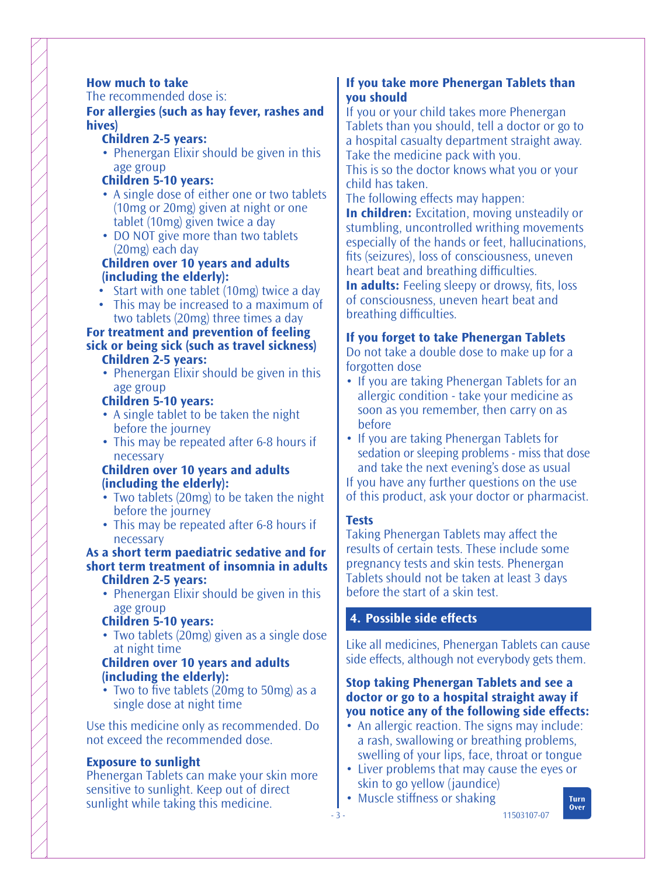#### **How much to take**

The recommended dose is:

**For allergies (such as hay fever, rashes and hives)**

- **Children 2-5 years:**
- Phenergan Elixir should be given in this age group

#### **Children 5-10 years:**

- A single dose of either one or two tablets (10mg or 20mg) given at night or one tablet (10mg) given twice a day
- DO NOT give more than two tablets (20mg) each day

#### **Children over 10 years and adults (including the elderly):**

- Start with one tablet (10mg) twice a day
- This may be increased to a maximum of two tablets (20mg) three times a day

#### **For treatment and prevention of feeling sick or being sick (such as travel sickness) Children 2-5 years:**

• Phenergan Elixir should be given in this age group

#### **Children 5-10 years:**

- A single tablet to be taken the night before the journey
- This may be repeated after 6-8 hours if necessary

#### **Children over 10 years and adults (including the elderly):**

- Two tablets (20mg) to be taken the night before the journey
- This may be repeated after 6-8 hours if necessary

#### **As a short term paediatric sedative and for short term treatment of insomnia in adults Children 2-5 years:**

• Phenergan Elixir should be given in this age group

#### **Children 5-10 years:**

• Two tablets (20mg) given as a single dose at night time

#### **Children over 10 years and adults (including the elderly):**

• Two to five tablets (20mg to 50mg) as a single dose at night time

Use this medicine only as recommended. Do not exceed the recommended dose.

#### **Exposure to sunlight**

Phenergan Tablets can make your skin more sensitive to sunlight. Keep out of direct sunlight while taking this medicine.

#### **If you take more Phenergan Tablets than you should**

If you or your child takes more Phenergan Tablets than you should, tell a doctor or go to a hospital casualty department straight away. Take the medicine pack with you.

This is so the doctor knows what you or your child has taken.

The following effects may happen:

**In children:** Excitation, moving unsteadily or stumbling, uncontrolled writhing movements especially of the hands or feet, hallucinations, fits (seizures), loss of consciousness, uneven heart beat and breathing difficulties.

**In adults:** Feeling sleepy or drowsy, fits, loss of consciousness, uneven heart beat and breathing difficulties.

#### **If you forget to take Phenergan Tablets**

Do not take a double dose to make up for a forgotten dose

- If you are taking Phenergan Tablets for an allergic condition - take your medicine as soon as you remember, then carry on as before
- If you are taking Phenergan Tablets for sedation or sleeping problems - miss that dose and take the next evening's dose as usual If you have any further questions on the use

of this product, ask your doctor or pharmacist.

#### **Tests**

Taking Phenergan Tablets may affect the results of certain tests. These include some pregnancy tests and skin tests. Phenergan Tablets should not be taken at least 3 days before the start of a skin test.

#### **4. Possible side effects**

Like all medicines, Phenergan Tablets can cause side effects, although not everybody gets them.

#### **Stop taking Phenergan Tablets and see a doctor or go to a hospital straight away if you notice any of the following side effects:**

- An allergic reaction. The signs may include: a rash, swallowing or breathing problems, swelling of your lips, face, throat or tongue
- Liver problems that may cause the eyes or skin to go yellow (jaundice)
- Muscle stiffness or shaking

Turn **Over**